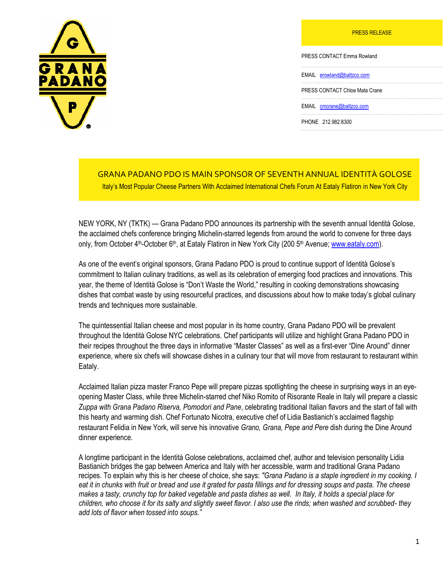PRESS RELEASE



PRESS CONTACT Emma Rowland

EMAIL [erowland@baltzco.com](mailto:mblock@baltzco.com)

PRESS CONTACT Chloe Mata Crane

EMAIL [cmcrane@baltzco.com](mailto:jpark@baltzco.com)

PHONE 212.982.8300

## GRANA PADANO PDO IS MAIN SPONSOR OF SEVENTH ANNUAL IDENTITÀ GOLOSE Italy's Most Popular Cheese Partners With Acclaimed International Chefs Forum At Eataly Flatiron in New York City

NEW YORK, NY (TKTK) — Grana Padano PDO announces its partnership with the seventh annual Identità Golose, the acclaimed chefs conference bringing Michelin-starred legends from around the world to convene for three days only, from October 4<sup>th</sup>-October 6<sup>th</sup>, at Eataly Flatiron in New York City (200 5<sup>th</sup> Avenue; [www.eataly.com\)](http://www.eataly.com/).

As one of the event's original sponsors, Grana Padano PDO is proud to continue support of Identità Golose's commitment to Italian culinary traditions, as well as its celebration of emerging food practices and innovations. This year, the theme of Identità Golose is "Don't Waste the World," resulting in cooking demonstrations showcasing dishes that combat waste by using resourceful practices, and discussions about how to make today's global culinary trends and techniques more sustainable.

The quintessential Italian cheese and most popular in its home country, Grana Padano PDO will be prevalent throughout the Identità Golose NYC celebrations. Chef participants will utilize and highlight Grana Padano PDO in their recipes throughout the three days in informative "Master Classes" as well as a first-ever "Dine Around" dinner experience, where six chefs will showcase dishes in a culinary tour that will move from restaurant to restaurant within Eataly.

Acclaimed Italian pizza master Franco Pepe will prepare pizzas spotlighting the cheese in surprising ways in an eyeopening Master Class, while three Michelin-starred chef Niko Romito of Risorante Reale in Italy will prepare a classic *Zuppa with Grana Padano Riserva, Pomodori and Pane*, celebrating traditional Italian flavors and the start of fall with this hearty and warming dish. Chef Fortunato Nicotra, executive chef of Lidia Bastianich's acclaimed flagship restaurant Felidia in New York, will serve his innovative *Grano, Grana, Pepe and Pere* dish during the Dine Around dinner experience.

A longtime participant in the Identità Golose celebrations, acclaimed chef, author and television personality Lidia Bastianich bridges the gap between America and Italy with her accessible, warm and traditional Grana Padano recipes. To explain why this is her cheese of choice, she says: *"Grana Padano is a staple ingredient in my cooking. I eat it in chunks with fruit or bread and use it grated for pasta fillings and for dressing soups and pasta. The cheese makes a tasty, crunchy top for baked vegetable and pasta dishes as well. In Italy, it holds a special place for children, who choose it for its salty and slightly sweet flavor. I also use the rinds; when washed and scrubbed- they add lots of flavor when tossed into soups."*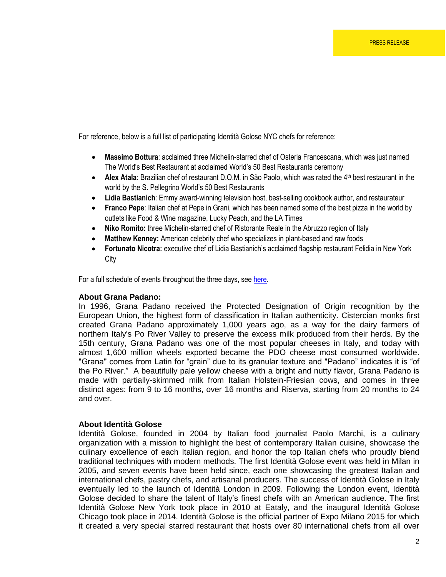For reference, below is a full list of participating Identità Golose NYC chefs for reference:

- **Massimo Bottura**: acclaimed three Michelin-starred chef of Osteria Francescana, which was just named The World's Best Restaurant at acclaimed World's 50 Best Restaurants ceremony
- Alex Atala: Brazilian chef of restaurant D.O.M. in São Paolo, which was rated the 4<sup>th</sup> best restaurant in the world by the S. Pellegrino World's 50 Best Restaurants
- **Lidia Bastianich**: Emmy award-winning television host, best-selling cookbook author, and restaurateur
- **Franco Pepe**: Italian chef at Pepe in Grani, which has been named some of the best pizza in the world by outlets like Food & Wine magazine, Lucky Peach, and the LA Times
- **Niko Romito:** three Michelin-starred chef of Ristorante Reale in the Abruzzo region of Italy
- **Matthew Kenney:** American celebrity chef who specializes in plant-based and raw foods
- **Fortunato Nicotra:** executive chef of Lidia Bastianich's acclaimed flagship restaurant Felidia in New York City

For a full schedule of events throughout the three days, see here.

## **About Grana Padano:**

In 1996, Grana Padano received the Protected Designation of Origin recognition by the European Union, the highest form of classification in Italian authenticity. Cistercian monks first created Grana Padano approximately 1,000 years ago, as a way for the dairy farmers of northern Italy's Po River Valley to preserve the excess milk produced from their herds. By the 15th century, Grana Padano was one of the most popular cheeses in Italy, and today with almost 1,600 million wheels exported became the PDO cheese most consumed worldwide. "Grana" comes from Latin for "grain" due to its granular texture and "Padano" indicates it is "of the Po River." A beautifully pale yellow cheese with a bright and nutty flavor, Grana Padano is made with partially-skimmed milk from Italian Holstein-Friesian cows, and comes in three distinct ages: from 9 to 16 months, over 16 months and Riserva, starting from 20 months to 24 and over.

## **About Identità Golose**

Identità Golose, founded in 2004 by Italian food journalist Paolo Marchi, is a culinary organization with a mission to highlight the best of contemporary Italian cuisine, showcase the culinary excellence of each Italian region, and honor the top Italian chefs who proudly blend traditional techniques with modern methods. The first Identità Golose event was held in Milan in 2005, and seven events have been held since, each one showcasing the greatest Italian and international chefs, pastry chefs, and artisanal producers. The success of Identità Golose in Italy eventually led to the launch of Identità London in 2009. Following the London event, Identità Golose decided to share the talent of Italy's finest chefs with an American audience. The first Identità Golose New York took place in 2010 at Eataly, and the inaugural Identità Golose Chicago took place in 2014. Identità Golose is the official partner of Expo Milano 2015 for which it created a very special starred restaurant that hosts over 80 international chefs from all over